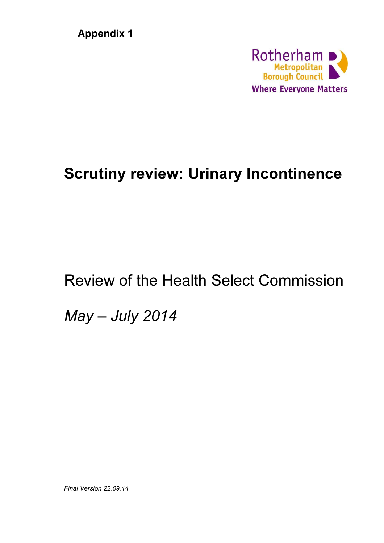**Appendix 1** 



# Scrutiny review: Urinary Incontinence

# Review of the Health Select Commission

May – July 2014

Final Version 22.09.14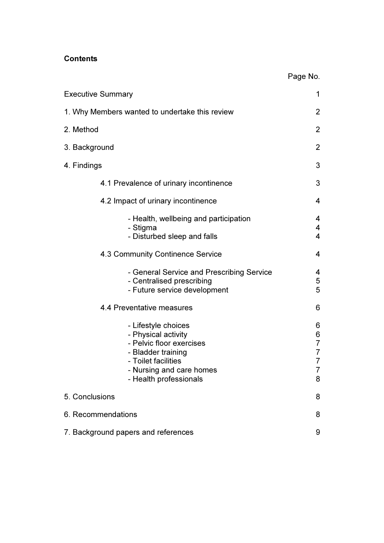## **Contents**

|                                                                                                                                                                           | Page No.                                                  |  |  |  |  |
|---------------------------------------------------------------------------------------------------------------------------------------------------------------------------|-----------------------------------------------------------|--|--|--|--|
| <b>Executive Summary</b>                                                                                                                                                  | 1                                                         |  |  |  |  |
| 1. Why Members wanted to undertake this review                                                                                                                            |                                                           |  |  |  |  |
| 2. Method                                                                                                                                                                 | 2                                                         |  |  |  |  |
| 3. Background                                                                                                                                                             | 2                                                         |  |  |  |  |
| 4. Findings                                                                                                                                                               | 3                                                         |  |  |  |  |
| 4.1 Prevalence of urinary incontinence                                                                                                                                    | 3                                                         |  |  |  |  |
| 4.2 Impact of urinary incontinence                                                                                                                                        | 4                                                         |  |  |  |  |
| - Health, wellbeing and participation<br>- Stigma<br>- Disturbed sleep and falls                                                                                          | 4<br>4<br>$\overline{\mathbf{4}}$                         |  |  |  |  |
| 4.3 Community Continence Service                                                                                                                                          | 4                                                         |  |  |  |  |
| - General Service and Prescribing Service<br>- Centralised prescribing<br>- Future service development                                                                    | 4<br>5<br>5                                               |  |  |  |  |
| 4.4 Preventative measures                                                                                                                                                 | 6                                                         |  |  |  |  |
| - Lifestyle choices<br>- Physical activity<br>- Pelvic floor exercises<br>- Bladder training<br>- Toilet facilities<br>- Nursing and care homes<br>- Health professionals | 6<br>6<br>$\overline{7}$<br>$\overline{7}$<br>7<br>7<br>8 |  |  |  |  |
| 5. Conclusions                                                                                                                                                            | 8                                                         |  |  |  |  |
| 6. Recommendations                                                                                                                                                        |                                                           |  |  |  |  |
| 7. Background papers and references                                                                                                                                       |                                                           |  |  |  |  |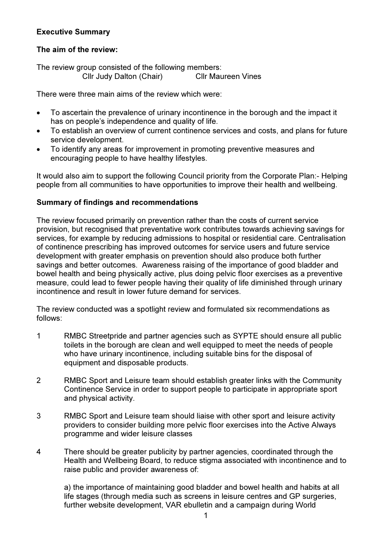# Executive Summary

# The aim of the review:

The review group consisted of the following members: Cllr Judy Dalton (Chair) Cllr Maureen Vines

There were three main aims of the review which were:

- To ascertain the prevalence of urinary incontinence in the borough and the impact it has on people's independence and quality of life.
- To establish an overview of current continence services and costs, and plans for future service development.
- To identify any areas for improvement in promoting preventive measures and encouraging people to have healthy lifestyles.

It would also aim to support the following Council priority from the Corporate Plan:- Helping people from all communities to have opportunities to improve their health and wellbeing.

# Summary of findings and recommendations

The review focused primarily on prevention rather than the costs of current service provision, but recognised that preventative work contributes towards achieving savings for services, for example by reducing admissions to hospital or residential care. Centralisation of continence prescribing has improved outcomes for service users and future service development with greater emphasis on prevention should also produce both further savings and better outcomes. Awareness raising of the importance of good bladder and bowel health and being physically active, plus doing pelvic floor exercises as a preventive measure, could lead to fewer people having their quality of life diminished through urinary incontinence and result in lower future demand for services.

The review conducted was a spotlight review and formulated six recommendations as follows:

- 1 RMBC Streetpride and partner agencies such as SYPTE should ensure all public toilets in the borough are clean and well equipped to meet the needs of people who have urinary incontinence, including suitable bins for the disposal of equipment and disposable products.
- 2 RMBC Sport and Leisure team should establish greater links with the Community Continence Service in order to support people to participate in appropriate sport and physical activity.
- 3 RMBC Sport and Leisure team should liaise with other sport and leisure activity providers to consider building more pelvic floor exercises into the Active Always programme and wider leisure classes
- 4 There should be greater publicity by partner agencies, coordinated through the Health and Wellbeing Board, to reduce stigma associated with incontinence and to raise public and provider awareness of:

a) the importance of maintaining good bladder and bowel health and habits at all life stages (through media such as screens in leisure centres and GP surgeries, further website development, VAR ebulletin and a campaign during World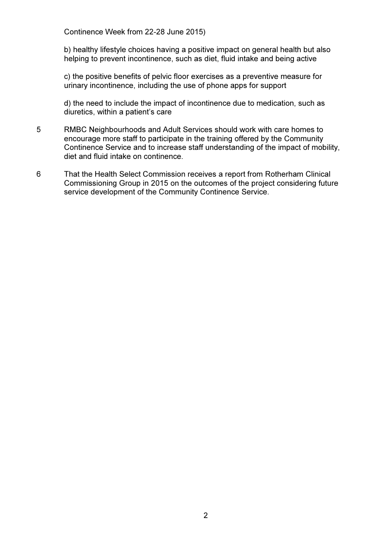Continence Week from 22-28 June 2015)

 b) healthy lifestyle choices having a positive impact on general health but also helping to prevent incontinence, such as diet, fluid intake and being active

c) the positive benefits of pelvic floor exercises as a preventive measure for urinary incontinence, including the use of phone apps for support

 d) the need to include the impact of incontinence due to medication, such as diuretics, within a patient's care

- 5 RMBC Neighbourhoods and Adult Services should work with care homes to encourage more staff to participate in the training offered by the Community Continence Service and to increase staff understanding of the impact of mobility, diet and fluid intake on continence.
- 6 That the Health Select Commission receives a report from Rotherham Clinical Commissioning Group in 2015 on the outcomes of the project considering future service development of the Community Continence Service.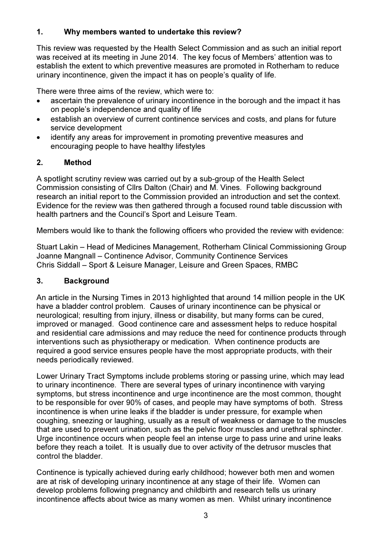# 1. Why members wanted to undertake this review?

This review was requested by the Health Select Commission and as such an initial report was received at its meeting in June 2014. The key focus of Members' attention was to establish the extent to which preventive measures are promoted in Rotherham to reduce urinary incontinence, given the impact it has on people's quality of life.

There were three aims of the review, which were to:

- ascertain the prevalence of urinary incontinence in the borough and the impact it has on people's independence and quality of life
- establish an overview of current continence services and costs, and plans for future service development
- identify any areas for improvement in promoting preventive measures and encouraging people to have healthy lifestyles

# 2. Method

A spotlight scrutiny review was carried out by a sub-group of the Health Select Commission consisting of Cllrs Dalton (Chair) and M. Vines. Following background research an initial report to the Commission provided an introduction and set the context. Evidence for the review was then gathered through a focused round table discussion with health partners and the Council's Sport and Leisure Team.

Members would like to thank the following officers who provided the review with evidence:

Stuart Lakin – Head of Medicines Management, Rotherham Clinical Commissioning Group Joanne Mangnall – Continence Advisor, Community Continence Services Chris Siddall – Sport & Leisure Manager, Leisure and Green Spaces, RMBC

# 3. Background

An article in the Nursing Times in 2013 highlighted that around 14 million people in the UK have a bladder control problem. Causes of urinary incontinence can be physical or neurological; resulting from injury, illness or disability, but many forms can be cured, improved or managed. Good continence care and assessment helps to reduce hospital and residential care admissions and may reduce the need for continence products through interventions such as physiotherapy or medication. When continence products are required a good service ensures people have the most appropriate products, with their needs periodically reviewed.

Lower Urinary Tract Symptoms include problems storing or passing urine, which may lead to urinary incontinence. There are several types of urinary incontinence with varying symptoms, but stress incontinence and urge incontinence are the most common, thought to be responsible for over 90% of cases, and people may have symptoms of both. Stress incontinence is when urine leaks if the bladder is under pressure, for example when coughing, sneezing or laughing, usually as a result of weakness or damage to the muscles that are used to prevent urination, such as the pelvic floor muscles and urethral sphincter. Urge incontinence occurs when people feel an intense urge to pass urine and urine leaks before they reach a toilet. It is usually due to over activity of the detrusor muscles that control the bladder.

Continence is typically achieved during early childhood; however both men and women are at risk of developing urinary incontinence at any stage of their life. Women can develop problems following pregnancy and childbirth and research tells us urinary incontinence affects about twice as many women as men. Whilst urinary incontinence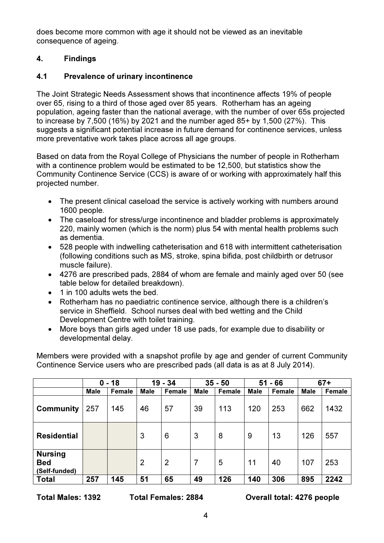does become more common with age it should not be viewed as an inevitable consequence of ageing.

# 4. Findings

# 4.1 Prevalence of urinary incontinence

The Joint Strategic Needs Assessment shows that incontinence affects 19% of people over 65, rising to a third of those aged over 85 years. Rotherham has an ageing population, ageing faster than the national average, with the number of over 65s projected to increase by 7,500 (16%) by 2021 and the number aged 85+ by 1,500 (27%). This suggests a significant potential increase in future demand for continence services, unless more preventative work takes place across all age groups.

Based on data from the Royal College of Physicians the number of people in Rotherham with a continence problem would be estimated to be 12,500, but statistics show the Community Continence Service (CCS) is aware of or working with approximately half this projected number.

- The present clinical caseload the service is actively working with numbers around 1600 people.
- The caseload for stress/urge incontinence and bladder problems is approximately 220, mainly women (which is the norm) plus 54 with mental health problems such as dementia.
- 528 people with indwelling catheterisation and 618 with intermittent catheterisation (following conditions such as MS, stroke, spina bifida, post childbirth or detrusor muscle failure).
- 4276 are prescribed pads, 2884 of whom are female and mainly aged over 50 (see table below for detailed breakdown).
- 1 in 100 adults wets the bed.
- Rotherham has no paediatric continence service, although there is a children's service in Sheffield. School nurses deal with bed wetting and the Child Development Centre with toilet training.
- More boys than girls aged under 18 use pads, for example due to disability or developmental delay.

Members were provided with a snapshot profile by age and gender of current Community Continence Service users who are prescribed pads (all data is as at 8 July 2014).

|                                               | $0 - 18$    |        | $19 - 34$   |                | $35 - 50$      |        | 51<br>- 66  |        | $67+$       |        |
|-----------------------------------------------|-------------|--------|-------------|----------------|----------------|--------|-------------|--------|-------------|--------|
|                                               | <b>Male</b> | Female | <b>Male</b> | <b>Female</b>  | <b>Male</b>    | Female | <b>Male</b> | Female | <b>Male</b> | Female |
| <b>Community</b>                              | 257         | 145    | 46          | 57             | 39             | 113    | 120         | 253    | 662         | 1432   |
| <b>Residential</b>                            |             |        | 3           | 6              | 3              | 8      | 9           | 13     | 126         | 557    |
| <b>Nursing</b><br><b>Bed</b><br>(Self-funded) |             |        | 2           | $\overline{2}$ | $\overline{7}$ | 5      | 11          | 40     | 107         | 253    |
| Total                                         | 257         | 145    | 51          | 65             | 49             | 126    | 140         | 306    | 895         | 2242   |

Total Males: 1392 Total Females: 2884 Overall total: 4276 people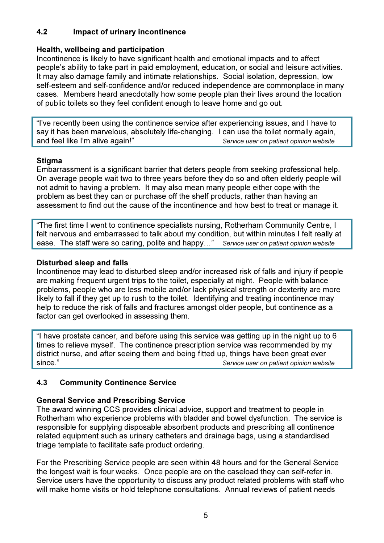# 4.2 Impact of urinary incontinence

# Health, wellbeing and participation

Incontinence is likely to have significant health and emotional impacts and to affect people's ability to take part in paid employment, education, or social and leisure activities. It may also damage family and intimate relationships. Social isolation, depression, low self-esteem and self-confidence and/or reduced independence are commonplace in many cases. Members heard anecdotally how some people plan their lives around the location of public toilets so they feel confident enough to leave home and go out.

"I've recently been using the continence service after experiencing issues, and I have to say it has been marvelous, absolutely life-changing. I can use the toilet normally again, and feel like I'm alive again!" Service user on patient opinion website

# **Stigma**

Embarrassment is a significant barrier that deters people from seeking professional help. On average people wait two to three years before they do so and often elderly people will not admit to having a problem. It may also mean many people either cope with the problem as best they can or purchase off the shelf products, rather than having an assessment to find out the cause of the incontinence and how best to treat or manage it.

"The first time I went to continence specialists nursing, Rotherham Community Centre, I felt nervous and embarrassed to talk about my condition, but within minutes I felt really at ease. The staff were so caring, polite and happy..." Service user on patient opinion website

# Disturbed sleep and falls

Incontinence may lead to disturbed sleep and/or increased risk of falls and injury if people are making frequent urgent trips to the toilet, especially at night. People with balance problems, people who are less mobile and/or lack physical strength or dexterity are more likely to fall if they get up to rush to the toilet. Identifying and treating incontinence may help to reduce the risk of falls and fractures amongst older people, but continence as a factor can get overlooked in assessing them.

"I have prostate cancer, and before using this service was getting up in the night up to 6 times to relieve myself. The continence prescription service was recommended by my district nurse, and after seeing them and being fitted up, things have been great ever since." Since." Service user on patient opinion website

# 4.3 Community Continence Service

# General Service and Prescribing Service

The award winning CCS provides clinical advice, support and treatment to people in Rotherham who experience problems with bladder and bowel dysfunction. The service is responsible for supplying disposable absorbent products and prescribing all continence related equipment such as urinary catheters and drainage bags, using a standardised triage template to facilitate safe product ordering.

For the Prescribing Service people are seen within 48 hours and for the General Service the longest wait is four weeks. Once people are on the caseload they can self-refer in. Service users have the opportunity to discuss any product related problems with staff who will make home visits or hold telephone consultations. Annual reviews of patient needs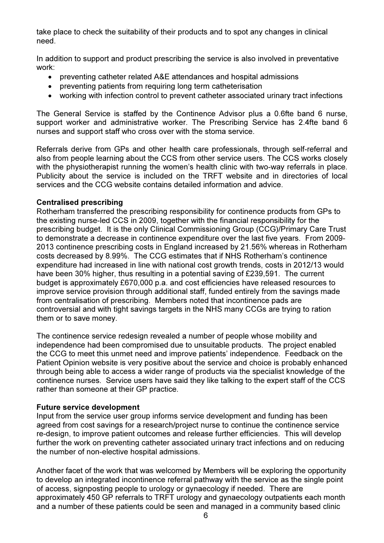take place to check the suitability of their products and to spot any changes in clinical need.

In addition to support and product prescribing the service is also involved in preventative work:

- preventing catheter related A&E attendances and hospital admissions
- preventing patients from requiring long term catheterisation
- working with infection control to prevent catheter associated urinary tract infections

The General Service is staffed by the Continence Advisor plus a 0.6fte band 6 nurse, support worker and administrative worker. The Prescribing Service has 2.4fte band 6 nurses and support staff who cross over with the stoma service.

Referrals derive from GPs and other health care professionals, through self-referral and also from people learning about the CCS from other service users. The CCS works closely with the physiotherapist running the women's health clinic with two-way referrals in place. Publicity about the service is included on the TRFT website and in directories of local services and the CCG website contains detailed information and advice.

# Centralised prescribing

Rotherham transferred the prescribing responsibility for continence products from GPs to the existing nurse-led CCS in 2009, together with the financial responsibility for the prescribing budget. It is the only Clinical Commissioning Group (CCG)/Primary Care Trust to demonstrate a decrease in continence expenditure over the last five years. From 2009- 2013 continence prescribing costs in England increased by 21.56% whereas in Rotherham costs decreased by 8.99%. The CCG estimates that if NHS Rotherham's continence expenditure had increased in line with national cost growth trends, costs in 2012/13 would have been 30% higher, thus resulting in a potential saving of £239,591. The current budget is approximately £670,000 p.a. and cost efficiencies have released resources to improve service provision through additional staff, funded entirely from the savings made from centralisation of prescribing. Members noted that incontinence pads are controversial and with tight savings targets in the NHS many CCGs are trying to ration them or to save money.

The continence service redesign revealed a number of people whose mobility and independence had been compromised due to unsuitable products. The project enabled the CCG to meet this unmet need and improve patients' independence. Feedback on the Patient Opinion website is very positive about the service and choice is probably enhanced through being able to access a wider range of products via the specialist knowledge of the continence nurses. Service users have said they like talking to the expert staff of the CCS rather than someone at their GP practice.

# Future service development

Input from the service user group informs service development and funding has been agreed from cost savings for a research/project nurse to continue the continence service re-design, to improve patient outcomes and release further efficiencies. This will develop further the work on preventing catheter associated urinary tract infections and on reducing the number of non-elective hospital admissions.

Another facet of the work that was welcomed by Members will be exploring the opportunity to develop an integrated incontinence referral pathway with the service as the single point of access, signposting people to urology or gynaecology if needed. There are approximately 450 GP referrals to TRFT urology and gynaecology outpatients each month and a number of these patients could be seen and managed in a community based clinic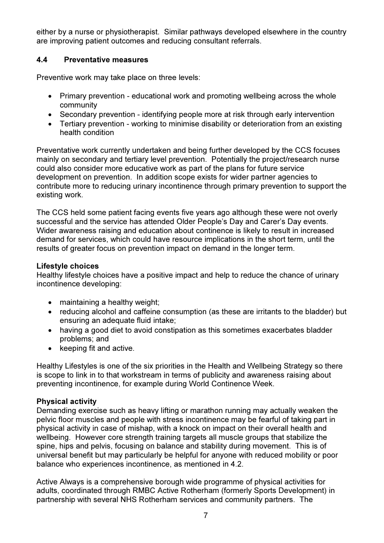either by a nurse or physiotherapist. Similar pathways developed elsewhere in the country are improving patient outcomes and reducing consultant referrals.

## 4.4 Preventative measures

Preventive work may take place on three levels:

- Primary prevention educational work and promoting wellbeing across the whole community
- Secondary prevention identifying people more at risk through early intervention
- Tertiary prevention working to minimise disability or deterioration from an existing health condition

Preventative work currently undertaken and being further developed by the CCS focuses mainly on secondary and tertiary level prevention. Potentially the project/research nurse could also consider more educative work as part of the plans for future service development on prevention. In addition scope exists for wider partner agencies to contribute more to reducing urinary incontinence through primary prevention to support the existing work.

The CCS held some patient facing events five years ago although these were not overly successful and the service has attended Older People's Day and Carer's Day events. Wider awareness raising and education about continence is likely to result in increased demand for services, which could have resource implications in the short term, until the results of greater focus on prevention impact on demand in the longer term.

#### Lifestyle choices

Healthy lifestyle choices have a positive impact and help to reduce the chance of urinary incontinence developing:

- maintaining a healthy weight;
- reducing alcohol and caffeine consumption (as these are irritants to the bladder) but ensuring an adequate fluid intake;
- having a good diet to avoid constipation as this sometimes exacerbates bladder problems; and
- keeping fit and active.

Healthy Lifestyles is one of the six priorities in the Health and Wellbeing Strategy so there is scope to link in to that workstream in terms of publicity and awareness raising about preventing incontinence, for example during World Continence Week.

#### Physical activity

Demanding exercise such as heavy lifting or marathon running may actually weaken the pelvic floor muscles and people with stress incontinence may be fearful of taking part in physical activity in case of mishap, with a knock on impact on their overall health and wellbeing. However core strength training targets all muscle groups that stabilize the spine, hips and pelvis, focusing on balance and stability during movement. This is of universal benefit but may particularly be helpful for anyone with reduced mobility or poor balance who experiences incontinence, as mentioned in 4.2.

Active Always is a comprehensive borough wide programme of physical activities for adults, coordinated through RMBC Active Rotherham (formerly Sports Development) in partnership with several NHS Rotherham services and community partners. The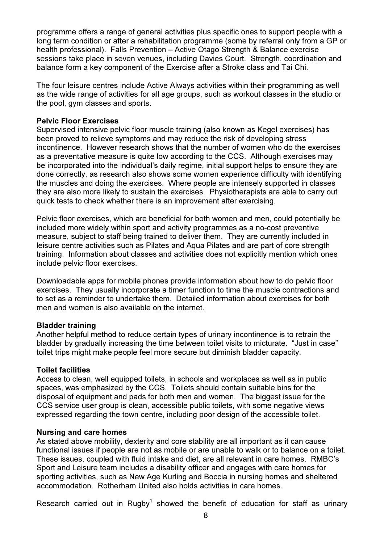programme offers a range of general activities plus specific ones to support people with a long term condition or after a rehabilitation programme (some by referral only from a GP or health professional). Falls Prevention – Active Otago Strength & Balance exercise sessions take place in seven venues, including Davies Court. Strength, coordination and balance form a key component of the Exercise after a Stroke class and Tai Chi.

The four leisure centres include Active Always activities within their programming as well as the wide range of activities for all age groups, such as workout classes in the studio or the pool, gym classes and sports.

#### Pelvic Floor Exercises

Supervised intensive pelvic floor muscle training (also known as Kegel exercises) has been proved to relieve symptoms and may reduce the risk of developing stress incontinence. However research shows that the number of women who do the exercises as a preventative measure is quite low according to the CCS. Although exercises may be incorporated into the individual's daily regime, initial support helps to ensure they are done correctly, as research also shows some women experience difficulty with identifying the muscles and doing the exercises. Where people are intensely supported in classes they are also more likely to sustain the exercises. Physiotherapists are able to carry out quick tests to check whether there is an improvement after exercising.

Pelvic floor exercises, which are beneficial for both women and men, could potentially be included more widely within sport and activity programmes as a no-cost preventive measure, subject to staff being trained to deliver them. They are currently included in leisure centre activities such as Pilates and Aqua Pilates and are part of core strength training. Information about classes and activities does not explicitly mention which ones include pelvic floor exercises.

Downloadable apps for mobile phones provide information about how to do pelvic floor exercises. They usually incorporate a timer function to time the muscle contractions and to set as a reminder to undertake them. Detailed information about exercises for both men and women is also available on the internet

#### Bladder training

Another helpful method to reduce certain types of urinary incontinence is to retrain the bladder by gradually increasing the time between toilet visits to micturate. "Just in case" toilet trips might make people feel more secure but diminish bladder capacity.

#### Toilet facilities

Access to clean, well equipped toilets, in schools and workplaces as well as in public spaces, was emphasized by the CCS. Toilets should contain suitable bins for the disposal of equipment and pads for both men and women. The biggest issue for the CCS service user group is clean, accessible public toilets, with some negative views expressed regarding the town centre, including poor design of the accessible toilet.

#### Nursing and care homes

As stated above mobility, dexterity and core stability are all important as it can cause functional issues if people are not as mobile or are unable to walk or to balance on a toilet. These issues, coupled with fluid intake and diet, are all relevant in care homes. RMBC's Sport and Leisure team includes a disability officer and engages with care homes for sporting activities, such as New Age Kurling and Boccia in nursing homes and sheltered accommodation. Rotherham United also holds activities in care homes.

Research carried out in Rugby<sup>1</sup> showed the benefit of education for staff as urinary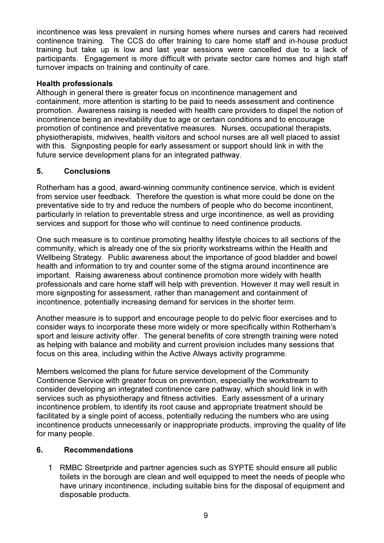incontinence was less prevalent in nursing homes where nurses and carers had received continence training. The CCS do offer training to care home staff and in-house product training but take up is low and last year sessions were cancelled due to a lack of participants. Engagement is more difficult with private sector care homes and high staff turnover impacts on training and continuity of care.

### Health professionals

Although in general there is greater focus on incontinence management and containment, more attention is starting to be paid to needs assessment and continence promotion. Awareness raising is needed with health care providers to dispel the notion of incontinence being an inevitability due to age or certain conditions and to encourage promotion of continence and preventative measures. Nurses, occupational therapists, physiotherapists, midwives, health visitors and school nurses are all well placed to assist with this. Signposting people for early assessment or support should link in with the future service development plans for an integrated pathway.

# 5. Conclusions

Rotherham has a good, award-winning community continence service, which is evident from service user feedback. Therefore the question is what more could be done on the preventative side to try and reduce the numbers of people who do become incontinent, particularly in relation to preventable stress and urge incontinence, as well as providing services and support for those who will continue to need continence products.

One such measure is to continue promoting healthy lifestyle choices to all sections of the community, which is already one of the six priority workstreams within the Health and Wellbeing Strategy. Public awareness about the importance of good bladder and bowel health and information to try and counter some of the stigma around incontinence are important. Raising awareness about continence promotion more widely with health professionals and care home staff will help with prevention. However it may well result in more signposting for assessment, rather than management and containment of incontinence, potentially increasing demand for services in the shorter term.

Another measure is to support and encourage people to do pelvic floor exercises and to consider ways to incorporate these more widely or more specifically within Rotherham's sport and leisure activity offer. The general benefits of core strength training were noted as helping with balance and mobility and current provision includes many sessions that focus on this area, including within the Active Always activity programme.

Members welcomed the plans for future service development of the Community Continence Service with greater focus on prevention, especially the workstream to consider developing an integrated continence care pathway, which should link in with services such as physiotherapy and fitness activities. Early assessment of a urinary incontinence problem, to identify its root cause and appropriate treatment should be facilitated by a single point of access, potentially reducing the numbers who are using incontinence products unnecessarily or inappropriate products, improving the quality of life for many people.

# 6. Recommendations

1 RMBC Streetpride and partner agencies such as SYPTE should ensure all public toilets in the borough are clean and well equipped to meet the needs of people who have urinary incontinence, including suitable bins for the disposal of equipment and disposable products.